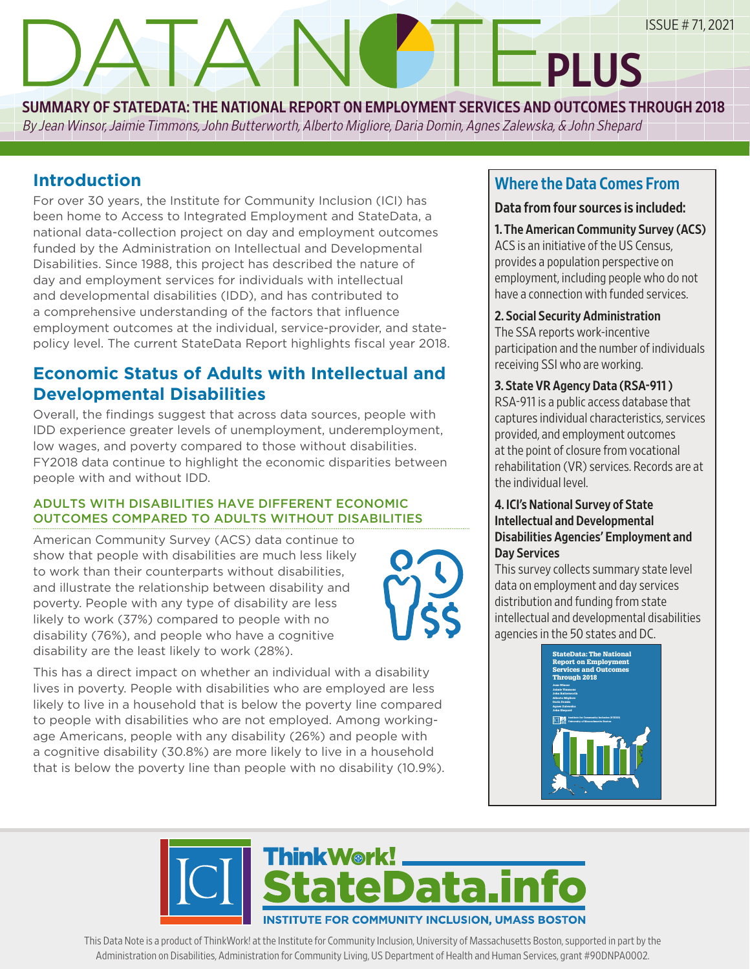SUMMARY OF STATEDATA: THE NATIONAL REPORT ON EMPLOYMENT SERVICES AND OUTCOMES THROUGH 2018

By Jean Winsor, Jaimie Timmons, John Butterworth, Alberto Migliore, Daria Domin, Agnes Zalewska, & John Shepard

# **Introduction**

For over 30 years, the Institute for Community Inclusion (ICI) has been home to Access to Integrated Employment and StateData, a national data-collection project on day and employment outcomes funded by the Administration on Intellectual and Developmental Disabilities. Since 1988, this project has described the nature of day and employment services for individuals with intellectual and developmental disabilities (IDD), and has contributed to a comprehensive understanding of the factors that influence employment outcomes at the individual, service-provider, and statepolicy level. The current StateData Report highlights fiscal year 2018.

EMPLOYMENT BLAH BLAH BLAH AND ALSO YABBA DABBA

# **Economic Status of Adults with Intellectual and Developmental Disabilities**

Overall, the findings suggest that across data sources, people with IDD experience greater levels of unemployment, underemployment, low wages, and poverty compared to those without disabilities. FY2018 data continue to highlight the economic disparities between people with and without IDD.

### ADULTS WITH DISABILITIES HAVE DIFFERENT ECONOMIC OUTCOMES COMPARED TO ADULTS WITHOUT DISABILITIES

American Community Survey (ACS) data continue to show that people with disabilities are much less likely to work than their counterparts without disabilities, and illustrate the relationship between disability and poverty. People with any type of disability are less likely to work (37%) compared to people with no disability (76%), and people who have a cognitive disability are the least likely to work (28%).



This has a direct impact on whether an individual with a disability lives in poverty. People with disabilities who are employed are less likely to live in a household that is below the poverty line compared to people with disabilities who are not employed. Among workingage Americans, people with any disability (26%) and people with a cognitive disability (30.8%) are more likely to live in a household that is below the poverty line than people with no disability (10.9%).

# Where the Data Comes From

**PLUS** 

### Data from four sources is included:

1. The American Community Survey (ACS) ACS is an initiative of the US Census, provides a population perspective on employment, including people who do not have a connection with funded services.

### 2. Social Security Administration

The SSA reports work-incentive participation and the number of individuals receiving SSI who are working.

### 3. State VR Agency Data (RSA-911 )

RSA-911 is a public access database that captures individual characteristics, services provided, and employment outcomes at the point of closure from vocational rehabilitation (VR) services. Records are at the individual level.

### 4. ICI's National Survey of State Intellectual and Developmental Disabilities Agencies' Employment and Day Services

This survey collects summary state level data on employment and day services distribution and funding from state intellectual and developmental disabilities agencies in the 50 states and DC.





This Data Note is a product of ThinkWork! at the Institute for Community Inclusion, University of Massachusetts Boston, supported in part by the Administration on Disabilities, Administration for Community Living, US Department of Health and Human Services, grant #90DNPA0002.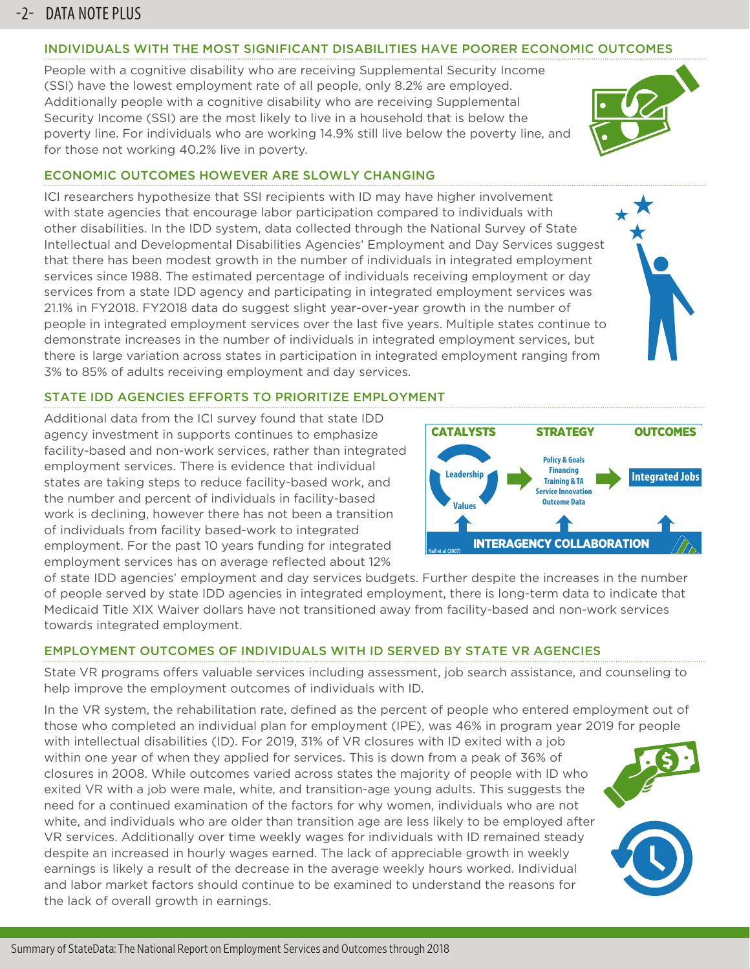## -2- DATA NOTE PLUS

#### INDIVIDUALS WITH THE MOST SIGNIFICANT DISABILITIES HAVE POORER ECONOMIC OUTCOMES

People with a cognitive disability who are receiving Supplemental Security Income (SSI) have the lowest employment rate of all people, only 8.2% are employed. Additionally people with a cognitive disability who are receiving Supplemental Security Income (SSI) are the most likely to live in a household that is below the poverty line. For individuals who are working 14.9% still live below the poverty line, and for those not working 40.2% live in poverty.

### ECONOMIC OUTCOMES HOWEVER ARE SLOWLY CHANGING

ICI researchers hypothesize that SSI recipients with ID may have higher involvement with state agencies that encourage labor participation compared to individuals with other disabilities. In the IDD system, data collected through the National Survey of State Intellectual and Developmental Disabilities Agencies' Employment and Day Services suggest that there has been modest growth in the number of individuals in integrated employment services since 1988. The estimated percentage of individuals receiving employment or day services from a state IDD agency and participating in integrated employment services was 21.1% in FY2018. FY2018 data do suggest slight year-over-year growth in the number of people in integrated employment services over the last five years. Multiple states continue to demonstrate increases in the number of individuals in integrated employment services, but there is large variation across states in participation in integrated employment ranging from 3% to 85% of adults receiving employment and day services.



#### STATE IDD AGENCIES EFFORTS TO PRIORITIZE EMPLOYMENT

Additional data from the ICI survey found that state IDD agency investment in supports continues to emphasize facility-based and non-work services, rather than integrated employment services. There is evidence that individual states are taking steps to reduce facility-based work, and the number and percent of individuals in facility-based work is declining, however there has not been a transition of individuals from facility based-work to integrated employment. For the past 10 years funding for integrated employment services has on average reflected about 12%



of state IDD agencies' employment and day services budgets. Further despite the increases in the number of people served by state IDD agencies in integrated employment, there is long-term data to indicate that Medicaid Title XIX Waiver dollars have not transitioned away from facility-based and non-work services towards integrated employment.

#### EMPLOYMENT OUTCOMES OF INDIVIDUALS WITH ID SERVED BY STATE VR AGENCIES

State VR programs offers valuable services including assessment, job search assistance, and counseling to help improve the employment outcomes of individuals with ID.

In the VR system, the rehabilitation rate, defined as the percent of people who entered employment out of those who completed an individual plan for employment (IPE), was 46% in program year 2019 for people with intellectual disabilities (ID). For 2019, 31% of VR closures with ID exited with a job

within one year of when they applied for services. This is down from a peak of 36% of closures in 2008. While outcomes varied across states the majority of people with ID who exited VR with a job were male, white, and transition-age young adults. This suggests the need for a continued examination of the factors for why women, individuals who are not white, and individuals who are older than transition age are less likely to be employed after VR services. Additionally over time weekly wages for individuals with ID remained steady despite an increased in hourly wages earned. The lack of appreciable growth in weekly earnings is likely a result of the decrease in the average weekly hours worked. Individual and labor market factors should continue to be examined to understand the reasons for the lack of overall growth in earnings.